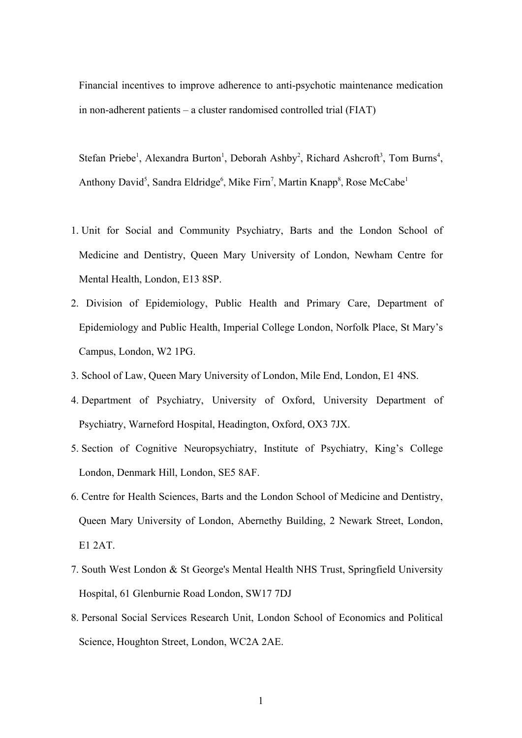Financial incentives to improve adherence to anti-psychotic maintenance medication in non-adherent patients – a cluster randomised controlled trial (FIAT)

Stefan Priebe<sup>1</sup>, Alexandra Burton<sup>1</sup>, Deborah Ashby<sup>2</sup>, Richard Ashcroft<sup>3</sup>, Tom Burns<sup>4</sup>, Anthony David<sup>5</sup>, Sandra Eldridge<sup>6</sup>, Mike Firn<sup>7</sup>, Martin Knapp<sup>8</sup>, Rose McCabe<sup>1</sup>

- 1. Unit for Social and Community Psychiatry, Barts and the London School of Medicine and Dentistry, Queen Mary University of London, Newham Centre for Mental Health, London, E13 8SP.
- 2. Division of Epidemiology, Public Health and Primary Care, Department of Epidemiology and Public Health, Imperial College London, Norfolk Place, St Mary's Campus, London, W2 1PG.
- 3. School of Law, Queen Mary University of London, Mile End, London, E1 4NS.
- 4. Department of Psychiatry, University of Oxford, University Department of Psychiatry, Warneford Hospital, Headington, Oxford, OX3 7JX.
- 5. Section of Cognitive Neuropsychiatry, Institute of Psychiatry, King's College London, Denmark Hill, London, SE5 8AF.
- 6. Centre for Health Sciences, Barts and the London School of Medicine and Dentistry, Queen Mary University of London, Abernethy Building, 2 Newark Street, London, E1 2AT.
- 7. South West London & St George's Mental Health NHS Trust, Springfield University Hospital, 61 Glenburnie Road London, SW17 7DJ
- 8. Personal Social Services Research Unit, London School of Economics and Political Science, Houghton Street, London, WC2A 2AE.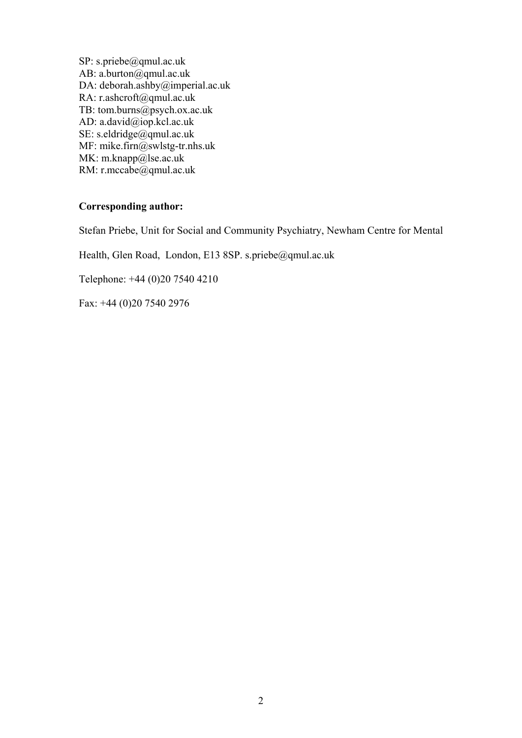SP: s.priebe@qmul.ac.uk AB: a.burton@qmul.ac.uk DA: deborah.ashby@imperial.ac.uk RA: r.ashcroft@qmul.ac.uk TB: tom.burns@psych.ox.ac.uk AD: a.david@iop.kcl.ac.uk SE: s.eldridge@qmul.ac.uk MF: mike.firn@swlstg-tr.nhs.uk MK: m.knapp@lse.ac.uk RM: r.mccabe@qmul.ac.uk

# **Corresponding author:**

Stefan Priebe, Unit for Social and Community Psychiatry, Newham Centre for Mental

Health, Glen Road, London, E13 8SP. s.priebe@qmul.ac.uk

Telephone: +44 (0)20 7540 4210

Fax: +44 (0)20 7540 2976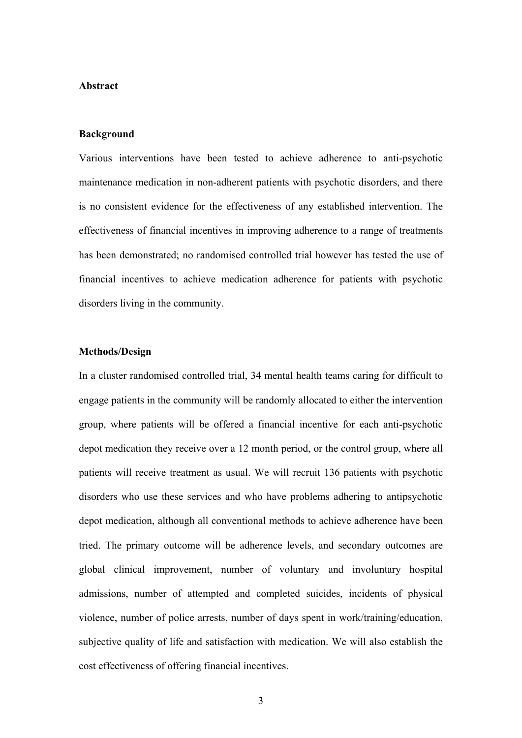## **Abstract**

#### **Background**

Various interventions have been tested to achieve adherence to anti-psychotic maintenance medication in non-adherent patients with psychotic disorders, and there is no consistent evidence for the effectiveness of any established intervention. The effectiveness of financial incentives in improving adherence to a range of treatments has been demonstrated; no randomised controlled trial however has tested the use of financial incentives to achieve medication adherence for patients with psychotic disorders living in the community.

## **Methods/Design**

In a cluster randomised controlled trial, 34 mental health teams caring for difficult to engage patients in the community will be randomly allocated to either the intervention group, where patients will be offered a financial incentive for each anti-psychotic depot medication they receive over a 12 month period, or the control group, where all patients will receive treatment as usual. We will recruit 136 patients with psychotic disorders who use these services and who have problems adhering to antipsychotic depot medication, although all conventional methods to achieve adherence have been tried. The primary outcome will be adherence levels, and secondary outcomes are global clinical improvement, number of voluntary and involuntary hospital admissions, number of attempted and completed suicides, incidents of physical violence, number of police arrests, number of days spent in work/training/education, subjective quality of life and satisfaction with medication. We will also establish the cost effectiveness of offering financial incentives.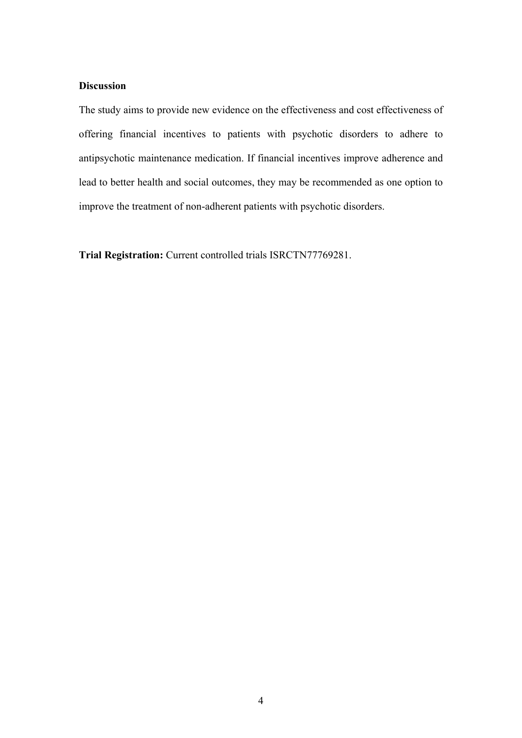# **Discussion**

The study aims to provide new evidence on the effectiveness and cost effectiveness of offering financial incentives to patients with psychotic disorders to adhere to antipsychotic maintenance medication. If financial incentives improve adherence and lead to better health and social outcomes, they may be recommended as one option to improve the treatment of non-adherent patients with psychotic disorders.

**Trial Registration:** Current controlled trials ISRCTN77769281.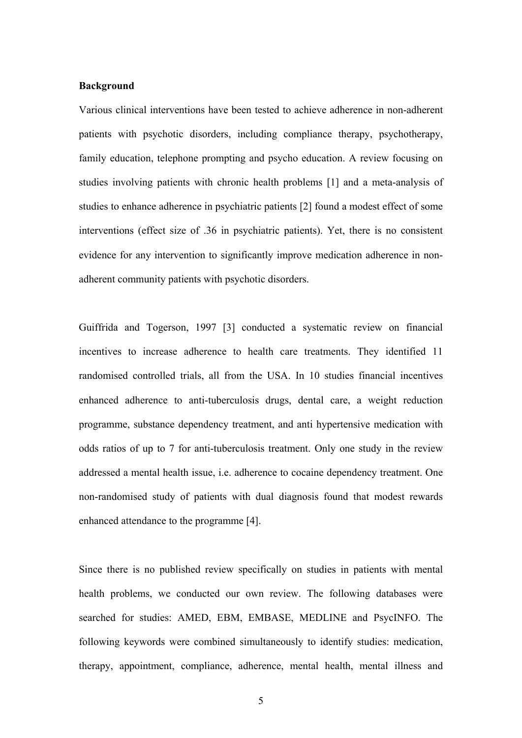## **Background**

Various clinical interventions have been tested to achieve adherence in non-adherent patients with psychotic disorders, including compliance therapy, psychotherapy, family education, telephone prompting and psycho education. A review focusing on studies involving patients with chronic health problems [1] and a meta-analysis of studies to enhance adherence in psychiatric patients [2] found a modest effect of some interventions (effect size of .36 in psychiatric patients). Yet, there is no consistent evidence for any intervention to significantly improve medication adherence in nonadherent community patients with psychotic disorders.

Guiffrida and Togerson, 1997 [3] conducted a systematic review on financial incentives to increase adherence to health care treatments. They identified 11 randomised controlled trials, all from the USA. In 10 studies financial incentives enhanced adherence to anti-tuberculosis drugs, dental care, a weight reduction programme, substance dependency treatment, and anti hypertensive medication with odds ratios of up to 7 for anti-tuberculosis treatment. Only one study in the review addressed a mental health issue, i.e. adherence to cocaine dependency treatment. One non-randomised study of patients with dual diagnosis found that modest rewards enhanced attendance to the programme [4].

Since there is no published review specifically on studies in patients with mental health problems, we conducted our own review. The following databases were searched for studies: AMED, EBM, EMBASE, MEDLINE and PsycINFO. The following keywords were combined simultaneously to identify studies: medication, therapy, appointment, compliance, adherence, mental health, mental illness and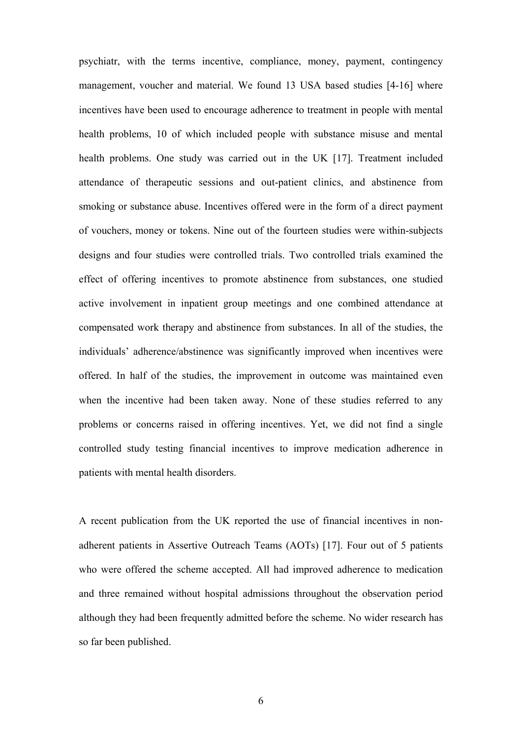psychiatr, with the terms incentive, compliance, money, payment, contingency management, voucher and material. We found 13 USA based studies [4-16] where incentives have been used to encourage adherence to treatment in people with mental health problems, 10 of which included people with substance misuse and mental health problems. One study was carried out in the UK [17]. Treatment included attendance of therapeutic sessions and out-patient clinics, and abstinence from smoking or substance abuse. Incentives offered were in the form of a direct payment of vouchers, money or tokens. Nine out of the fourteen studies were within-subjects designs and four studies were controlled trials. Two controlled trials examined the effect of offering incentives to promote abstinence from substances, one studied active involvement in inpatient group meetings and one combined attendance at compensated work therapy and abstinence from substances. In all of the studies, the individuals' adherence/abstinence was significantly improved when incentives were offered. In half of the studies, the improvement in outcome was maintained even when the incentive had been taken away. None of these studies referred to any problems or concerns raised in offering incentives. Yet, we did not find a single controlled study testing financial incentives to improve medication adherence in patients with mental health disorders.

A recent publication from the UK reported the use of financial incentives in nonadherent patients in Assertive Outreach Teams (AOTs) [17]. Four out of 5 patients who were offered the scheme accepted. All had improved adherence to medication and three remained without hospital admissions throughout the observation period although they had been frequently admitted before the scheme. No wider research has so far been published.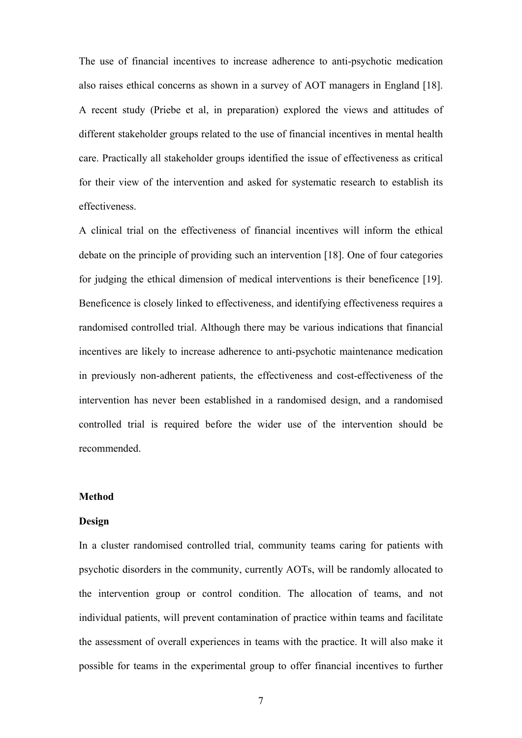The use of financial incentives to increase adherence to anti-psychotic medication also raises ethical concerns as shown in a survey of AOT managers in England [18]. A recent study (Priebe et al, in preparation) explored the views and attitudes of different stakeholder groups related to the use of financial incentives in mental health care. Practically all stakeholder groups identified the issue of effectiveness as critical for their view of the intervention and asked for systematic research to establish its effectiveness.

A clinical trial on the effectiveness of financial incentives will inform the ethical debate on the principle of providing such an intervention [18]. One of four categories for judging the ethical dimension of medical interventions is their beneficence [19]. Beneficence is closely linked to effectiveness, and identifying effectiveness requires a randomised controlled trial. Although there may be various indications that financial incentives are likely to increase adherence to anti-psychotic maintenance medication in previously non-adherent patients, the effectiveness and cost-effectiveness of the intervention has never been established in a randomised design, and a randomised controlled trial is required before the wider use of the intervention should be recommended.

## **Method**

#### **Design**

In a cluster randomised controlled trial, community teams caring for patients with psychotic disorders in the community, currently AOTs, will be randomly allocated to the intervention group or control condition. The allocation of teams, and not individual patients, will prevent contamination of practice within teams and facilitate the assessment of overall experiences in teams with the practice. It will also make it possible for teams in the experimental group to offer financial incentives to further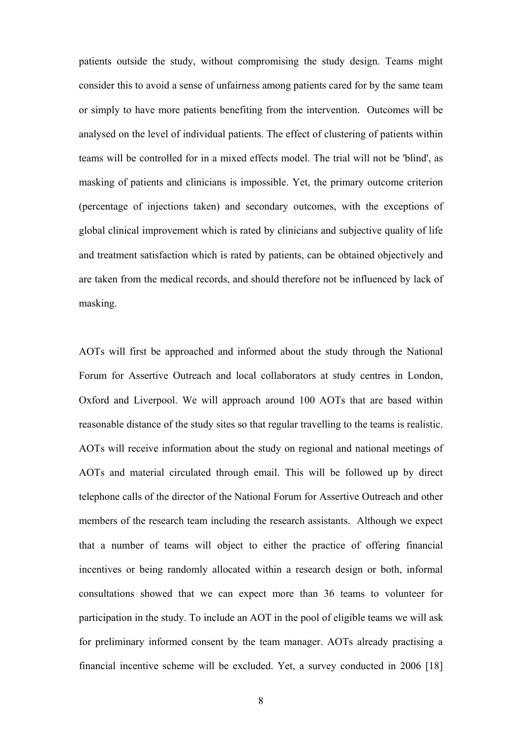patients outside the study, without compromising the study design. Teams might consider this to avoid a sense of unfairness among patients cared for by the same team or simply to have more patients benefiting from the intervention. Outcomes will be analysed on the level of individual patients. The effect of clustering of patients within teams will be controlled for in a mixed effects model. The trial will not be 'blind', as masking of patients and clinicians is impossible. Yet, the primary outcome criterion (percentage of injections taken) and secondary outcomes, with the exceptions of global clinical improvement which is rated by clinicians and subjective quality of life and treatment satisfaction which is rated by patients, can be obtained objectively and are taken from the medical records, and should therefore not be influenced by lack of masking.

AOTs will first be approached and informed about the study through the National Forum for Assertive Outreach and local collaborators at study centres in London, Oxford and Liverpool. We will approach around 100 AOTs that are based within reasonable distance of the study sites so that regular travelling to the teams is realistic. AOTs will receive information about the study on regional and national meetings of AOTs and material circulated through email. This will be followed up by direct telephone calls of the director of the National Forum for Assertive Outreach and other members of the research team including the research assistants. Although we expect that a number of teams will object to either the practice of offering financial incentives or being randomly allocated within a research design or both, informal consultations showed that we can expect more than 36 teams to volunteer for participation in the study. To include an AOT in the pool of eligible teams we will ask for preliminary informed consent by the team manager. AOTs already practising a financial incentive scheme will be excluded. Yet, a survey conducted in 2006 [18]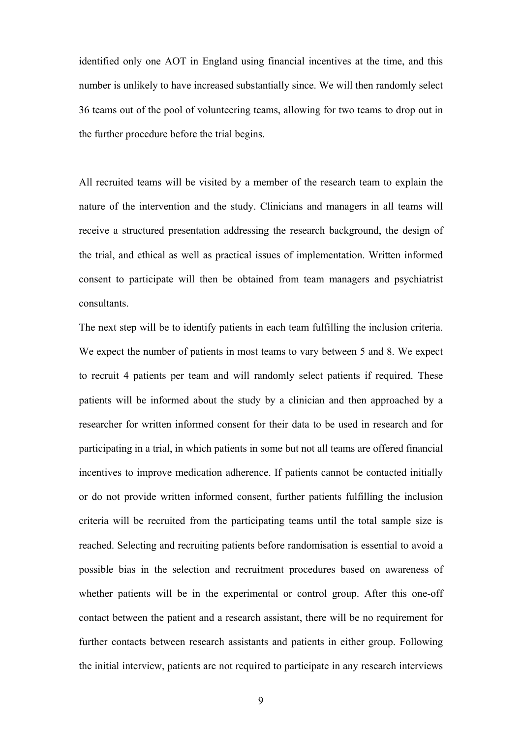identified only one AOT in England using financial incentives at the time, and this number is unlikely to have increased substantially since. We will then randomly select 36 teams out of the pool of volunteering teams, allowing for two teams to drop out in the further procedure before the trial begins.

All recruited teams will be visited by a member of the research team to explain the nature of the intervention and the study. Clinicians and managers in all teams will receive a structured presentation addressing the research background, the design of the trial, and ethical as well as practical issues of implementation. Written informed consent to participate will then be obtained from team managers and psychiatrist consultants.

The next step will be to identify patients in each team fulfilling the inclusion criteria. We expect the number of patients in most teams to vary between 5 and 8. We expect to recruit 4 patients per team and will randomly select patients if required. These patients will be informed about the study by a clinician and then approached by a researcher for written informed consent for their data to be used in research and for participating in a trial, in which patients in some but not all teams are offered financial incentives to improve medication adherence. If patients cannot be contacted initially or do not provide written informed consent, further patients fulfilling the inclusion criteria will be recruited from the participating teams until the total sample size is reached. Selecting and recruiting patients before randomisation is essential to avoid a possible bias in the selection and recruitment procedures based on awareness of whether patients will be in the experimental or control group. After this one-off contact between the patient and a research assistant, there will be no requirement for further contacts between research assistants and patients in either group. Following the initial interview, patients are not required to participate in any research interviews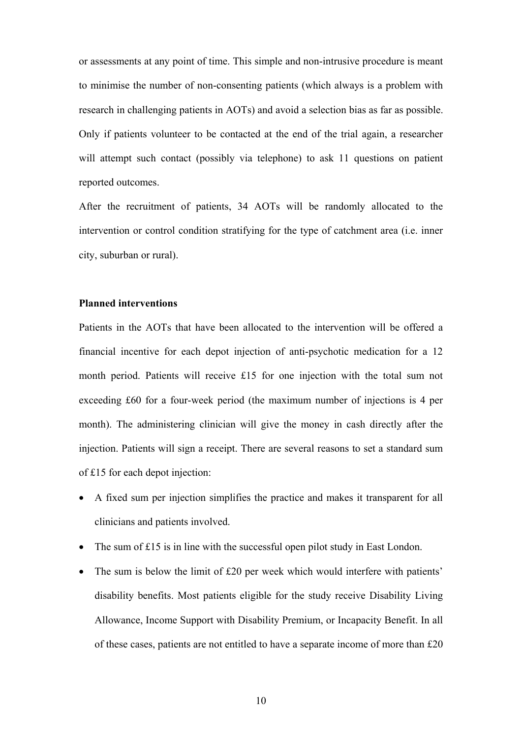or assessments at any point of time. This simple and non-intrusive procedure is meant to minimise the number of non-consenting patients (which always is a problem with research in challenging patients in AOTs) and avoid a selection bias as far as possible. Only if patients volunteer to be contacted at the end of the trial again, a researcher will attempt such contact (possibly via telephone) to ask 11 questions on patient reported outcomes.

After the recruitment of patients, 34 AOTs will be randomly allocated to the intervention or control condition stratifying for the type of catchment area (i.e. inner city, suburban or rural).

# **Planned interventions**

Patients in the AOTs that have been allocated to the intervention will be offered a financial incentive for each depot injection of anti-psychotic medication for a 12 month period. Patients will receive £15 for one injection with the total sum not exceeding £60 for a four-week period (the maximum number of injections is 4 per month). The administering clinician will give the money in cash directly after the injection. Patients will sign a receipt. There are several reasons to set a standard sum of £15 for each depot injection:

- ' A fixed sum per injection simplifies the practice and makes it transparent for all clinicians and patients involved.
- The sum of £15 is in line with the successful open pilot study in East London.
- The sum is below the limit of £20 per week which would interfere with patients' disability benefits. Most patients eligible for the study receive Disability Living Allowance, Income Support with Disability Premium, or Incapacity Benefit. In all of these cases, patients are not entitled to have a separate income of more than £20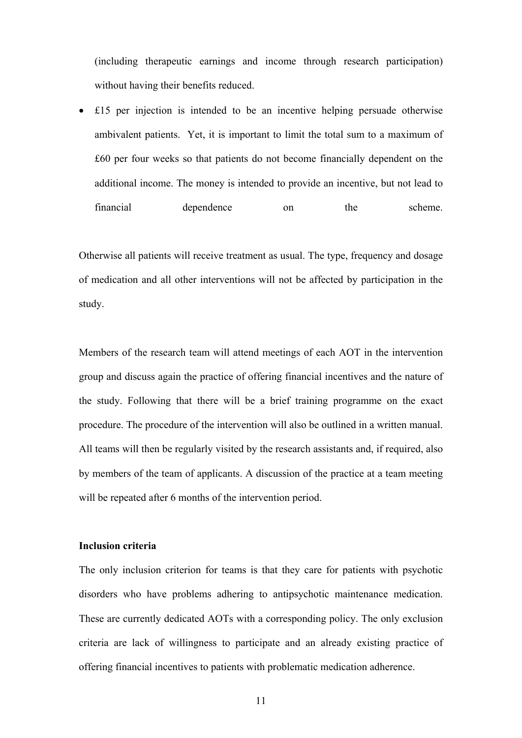(including therapeutic earnings and income through research participation) without having their benefits reduced.

' £15 per injection is intended to be an incentive helping persuade otherwise ambivalent patients. Yet, it is important to limit the total sum to a maximum of £60 per four weeks so that patients do not become financially dependent on the additional income. The money is intended to provide an incentive, but not lead to financial dependence on the scheme.

Otherwise all patients will receive treatment as usual. The type, frequency and dosage of medication and all other interventions will not be affected by participation in the study.

Members of the research team will attend meetings of each AOT in the intervention group and discuss again the practice of offering financial incentives and the nature of the study. Following that there will be a brief training programme on the exact procedure. The procedure of the intervention will also be outlined in a written manual. All teams will then be regularly visited by the research assistants and, if required, also by members of the team of applicants. A discussion of the practice at a team meeting will be repeated after 6 months of the intervention period.

# **Inclusion criteria**

The only inclusion criterion for teams is that they care for patients with psychotic disorders who have problems adhering to antipsychotic maintenance medication. These are currently dedicated AOTs with a corresponding policy. The only exclusion criteria are lack of willingness to participate and an already existing practice of offering financial incentives to patients with problematic medication adherence.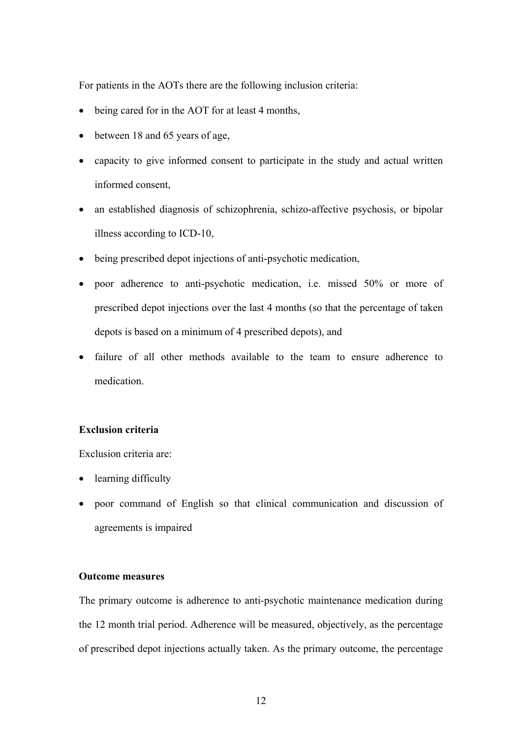For patients in the AOTs there are the following inclusion criteria:

- being cared for in the AOT for at least 4 months,
- between 18 and 65 years of age,
- capacity to give informed consent to participate in the study and actual written informed consent,
- an established diagnosis of schizophrenia, schizo-affective psychosis, or bipolar illness according to ICD-10,
- ' being prescribed depot injections of anti-psychotic medication,
- ' poor adherence to anti-psychotic medication, i.e. missed 50% or more of prescribed depot injections over the last 4 months (so that the percentage of taken depots is based on a minimum of 4 prescribed depots), and
- ' failure of all other methods available to the team to ensure adherence to medication.

# **Exclusion criteria**

Exclusion criteria are:

- learning difficulty
- ' poor command of English so that clinical communication and discussion of agreements is impaired

# **Outcome measures**

The primary outcome is adherence to anti-psychotic maintenance medication during the 12 month trial period. Adherence will be measured, objectively, as the percentage of prescribed depot injections actually taken. As the primary outcome, the percentage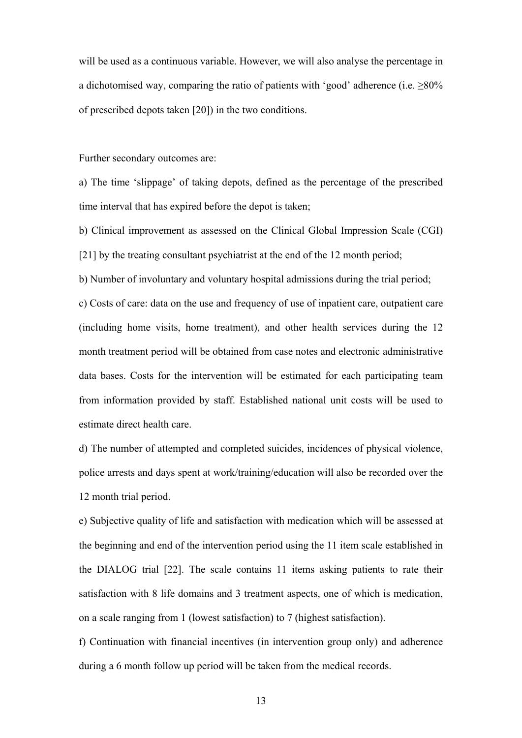will be used as a continuous variable. However, we will also analyse the percentage in a dichotomised way, comparing the ratio of patients with 'good' adherence (i.e.  $\geq 80\%$ ) of prescribed depots taken [20]) in the two conditions.

Further secondary outcomes are:

a) The time 'slippage' of taking depots, defined as the percentage of the prescribed time interval that has expired before the depot is taken;

b) Clinical improvement as assessed on the Clinical Global Impression Scale (CGI)

[21] by the treating consultant psychiatrist at the end of the 12 month period;

b) Number of involuntary and voluntary hospital admissions during the trial period;

c) Costs of care: data on the use and frequency of use of inpatient care, outpatient care (including home visits, home treatment), and other health services during the 12 month treatment period will be obtained from case notes and electronic administrative data bases. Costs for the intervention will be estimated for each participating team from information provided by staff. Established national unit costs will be used to estimate direct health care.

d) The number of attempted and completed suicides, incidences of physical violence, police arrests and days spent at work/training/education will also be recorded over the 12 month trial period.

e) Subjective quality of life and satisfaction with medication which will be assessed at the beginning and end of the intervention period using the 11 item scale established in the DIALOG trial [22]. The scale contains 11 items asking patients to rate their satisfaction with 8 life domains and 3 treatment aspects, one of which is medication, on a scale ranging from 1 (lowest satisfaction) to 7 (highest satisfaction).

f) Continuation with financial incentives (in intervention group only) and adherence during a 6 month follow up period will be taken from the medical records.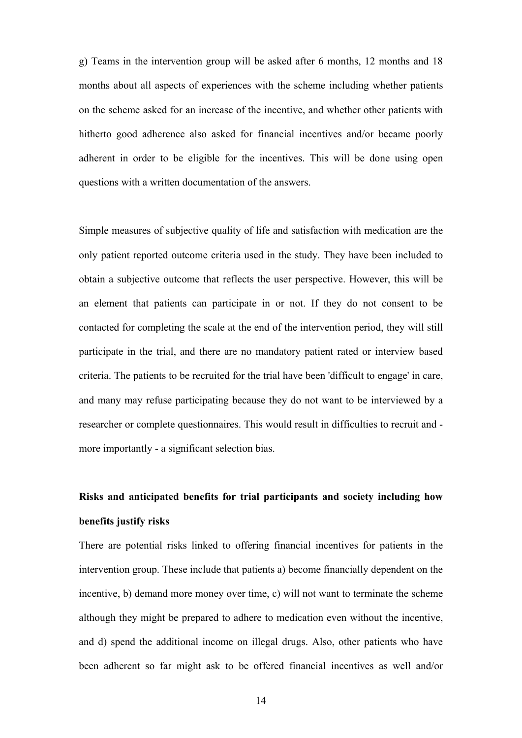g) Teams in the intervention group will be asked after 6 months, 12 months and 18 months about all aspects of experiences with the scheme including whether patients on the scheme asked for an increase of the incentive, and whether other patients with hitherto good adherence also asked for financial incentives and/or became poorly adherent in order to be eligible for the incentives. This will be done using open questions with a written documentation of the answers.

Simple measures of subjective quality of life and satisfaction with medication are the only patient reported outcome criteria used in the study. They have been included to obtain a subjective outcome that reflects the user perspective. However, this will be an element that patients can participate in or not. If they do not consent to be contacted for completing the scale at the end of the intervention period, they will still participate in the trial, and there are no mandatory patient rated or interview based criteria. The patients to be recruited for the trial have been 'difficult to engage' in care, and many may refuse participating because they do not want to be interviewed by a researcher or complete questionnaires. This would result in difficulties to recruit and more importantly - a significant selection bias.

# **Risks and anticipated benefits for trial participants and society including how benefits justify risks**

There are potential risks linked to offering financial incentives for patients in the intervention group. These include that patients a) become financially dependent on the incentive, b) demand more money over time, c) will not want to terminate the scheme although they might be prepared to adhere to medication even without the incentive, and d) spend the additional income on illegal drugs. Also, other patients who have been adherent so far might ask to be offered financial incentives as well and/or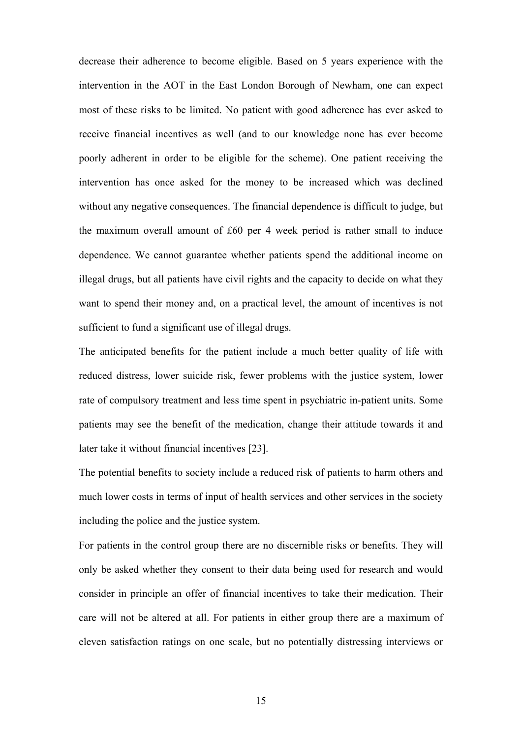decrease their adherence to become eligible. Based on 5 years experience with the intervention in the AOT in the East London Borough of Newham, one can expect most of these risks to be limited. No patient with good adherence has ever asked to receive financial incentives as well (and to our knowledge none has ever become poorly adherent in order to be eligible for the scheme). One patient receiving the intervention has once asked for the money to be increased which was declined without any negative consequences. The financial dependence is difficult to judge, but the maximum overall amount of £60 per 4 week period is rather small to induce dependence. We cannot guarantee whether patients spend the additional income on illegal drugs, but all patients have civil rights and the capacity to decide on what they want to spend their money and, on a practical level, the amount of incentives is not sufficient to fund a significant use of illegal drugs.

The anticipated benefits for the patient include a much better quality of life with reduced distress, lower suicide risk, fewer problems with the justice system, lower rate of compulsory treatment and less time spent in psychiatric in-patient units. Some patients may see the benefit of the medication, change their attitude towards it and later take it without financial incentives [23].

The potential benefits to society include a reduced risk of patients to harm others and much lower costs in terms of input of health services and other services in the society including the police and the justice system.

For patients in the control group there are no discernible risks or benefits. They will only be asked whether they consent to their data being used for research and would consider in principle an offer of financial incentives to take their medication. Their care will not be altered at all. For patients in either group there are a maximum of eleven satisfaction ratings on one scale, but no potentially distressing interviews or

15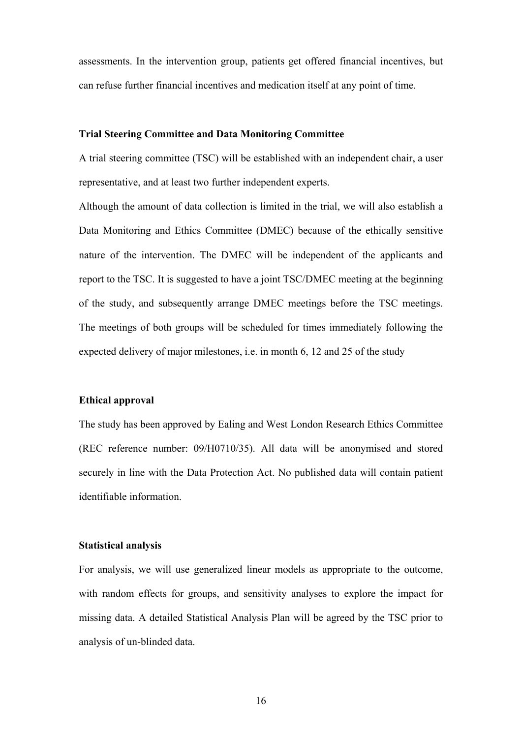assessments. In the intervention group, patients get offered financial incentives, but can refuse further financial incentives and medication itself at any point of time.

#### **Trial Steering Committee and Data Monitoring Committee**

A trial steering committee (TSC) will be established with an independent chair, a user representative, and at least two further independent experts.

Although the amount of data collection is limited in the trial, we will also establish a Data Monitoring and Ethics Committee (DMEC) because of the ethically sensitive nature of the intervention. The DMEC will be independent of the applicants and report to the TSC. It is suggested to have a joint TSC/DMEC meeting at the beginning of the study, and subsequently arrange DMEC meetings before the TSC meetings. The meetings of both groups will be scheduled for times immediately following the expected delivery of major milestones, i.e. in month 6, 12 and 25 of the study

## **Ethical approval**

The study has been approved by Ealing and West London Research Ethics Committee (REC reference number: 09/H0710/35). All data will be anonymised and stored securely in line with the Data Protection Act. No published data will contain patient identifiable information.

#### **Statistical analysis**

For analysis, we will use generalized linear models as appropriate to the outcome, with random effects for groups, and sensitivity analyses to explore the impact for missing data. A detailed Statistical Analysis Plan will be agreed by the TSC prior to analysis of un-blinded data.

16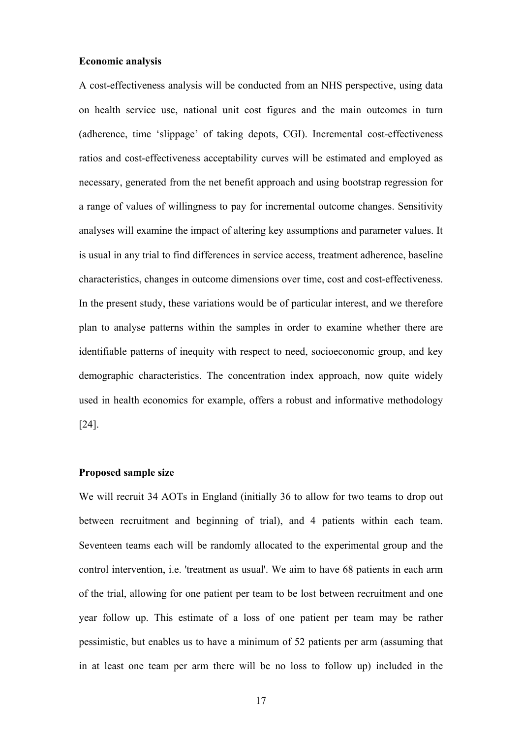#### **Economic analysis**

A cost-effectiveness analysis will be conducted from an NHS perspective, using data on health service use, national unit cost figures and the main outcomes in turn (adherence, time 'slippage' of taking depots, CGI). Incremental cost-effectiveness ratios and cost-effectiveness acceptability curves will be estimated and employed as necessary, generated from the net benefit approach and using bootstrap regression for a range of values of willingness to pay for incremental outcome changes. Sensitivity analyses will examine the impact of altering key assumptions and parameter values. It is usual in any trial to find differences in service access, treatment adherence, baseline characteristics, changes in outcome dimensions over time, cost and cost-effectiveness. In the present study, these variations would be of particular interest, and we therefore plan to analyse patterns within the samples in order to examine whether there are identifiable patterns of inequity with respect to need, socioeconomic group, and key demographic characteristics. The concentration index approach, now quite widely used in health economics for example, offers a robust and informative methodology [24].

#### **Proposed sample size**

We will recruit 34 AOTs in England (initially 36 to allow for two teams to drop out between recruitment and beginning of trial), and 4 patients within each team. Seventeen teams each will be randomly allocated to the experimental group and the control intervention, i.e. 'treatment as usual'. We aim to have 68 patients in each arm of the trial, allowing for one patient per team to be lost between recruitment and one year follow up. This estimate of a loss of one patient per team may be rather pessimistic, but enables us to have a minimum of 52 patients per arm (assuming that in at least one team per arm there will be no loss to follow up) included in the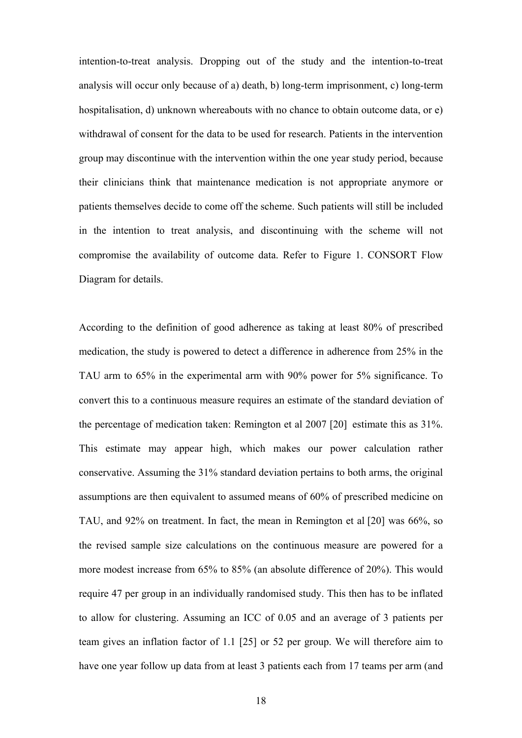intention-to-treat analysis. Dropping out of the study and the intention-to-treat analysis will occur only because of a) death, b) long-term imprisonment, c) long-term hospitalisation, d) unknown whereabouts with no chance to obtain outcome data, or e) withdrawal of consent for the data to be used for research. Patients in the intervention group may discontinue with the intervention within the one year study period, because their clinicians think that maintenance medication is not appropriate anymore or patients themselves decide to come off the scheme. Such patients will still be included in the intention to treat analysis, and discontinuing with the scheme will not compromise the availability of outcome data. Refer to Figure 1. CONSORT Flow Diagram for details.

According to the definition of good adherence as taking at least 80% of prescribed medication, the study is powered to detect a difference in adherence from 25% in the TAU arm to 65% in the experimental arm with 90% power for 5% significance. To convert this to a continuous measure requires an estimate of the standard deviation of the percentage of medication taken: Remington et al 2007 [20] estimate this as 31%. This estimate may appear high, which makes our power calculation rather conservative. Assuming the 31% standard deviation pertains to both arms, the original assumptions are then equivalent to assumed means of 60% of prescribed medicine on TAU, and 92% on treatment. In fact, the mean in Remington et al [20] was 66%, so the revised sample size calculations on the continuous measure are powered for a more modest increase from 65% to 85% (an absolute difference of 20%). This would require 47 per group in an individually randomised study. This then has to be inflated to allow for clustering. Assuming an ICC of 0.05 and an average of 3 patients per team gives an inflation factor of 1.1 [25] or 52 per group. We will therefore aim to have one year follow up data from at least 3 patients each from 17 teams per arm (and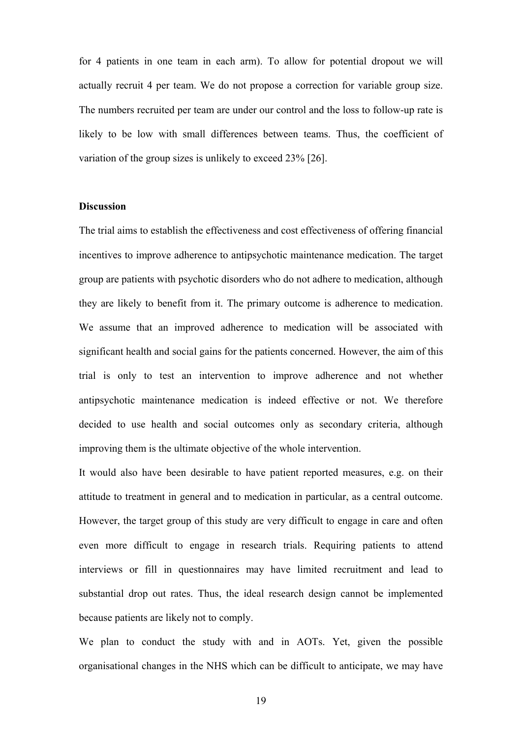for 4 patients in one team in each arm). To allow for potential dropout we will actually recruit 4 per team. We do not propose a correction for variable group size. The numbers recruited per team are under our control and the loss to follow-up rate is likely to be low with small differences between teams. Thus, the coefficient of variation of the group sizes is unlikely to exceed 23% [26].

# **Discussion**

The trial aims to establish the effectiveness and cost effectiveness of offering financial incentives to improve adherence to antipsychotic maintenance medication. The target group are patients with psychotic disorders who do not adhere to medication, although they are likely to benefit from it. The primary outcome is adherence to medication. We assume that an improved adherence to medication will be associated with significant health and social gains for the patients concerned. However, the aim of this trial is only to test an intervention to improve adherence and not whether antipsychotic maintenance medication is indeed effective or not. We therefore decided to use health and social outcomes only as secondary criteria, although improving them is the ultimate objective of the whole intervention.

It would also have been desirable to have patient reported measures, e.g. on their attitude to treatment in general and to medication in particular, as a central outcome. However, the target group of this study are very difficult to engage in care and often even more difficult to engage in research trials. Requiring patients to attend interviews or fill in questionnaires may have limited recruitment and lead to substantial drop out rates. Thus, the ideal research design cannot be implemented because patients are likely not to comply.

We plan to conduct the study with and in AOTs. Yet, given the possible organisational changes in the NHS which can be difficult to anticipate, we may have

19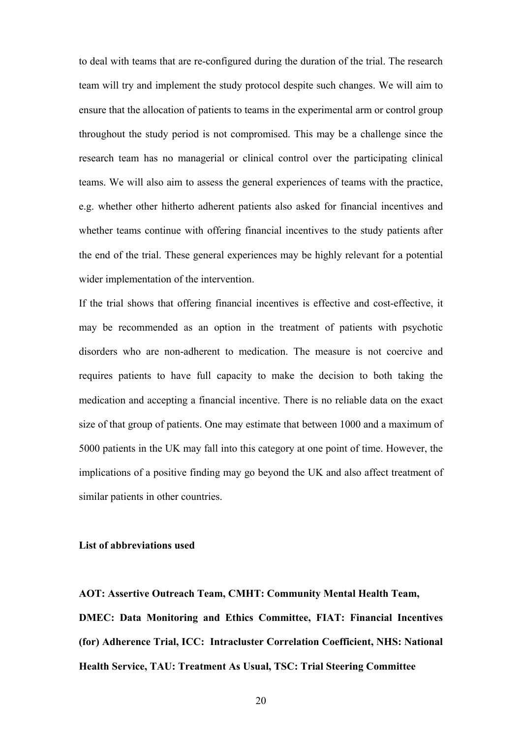to deal with teams that are re-configured during the duration of the trial. The research team will try and implement the study protocol despite such changes. We will aim to ensure that the allocation of patients to teams in the experimental arm or control group throughout the study period is not compromised. This may be a challenge since the research team has no managerial or clinical control over the participating clinical teams. We will also aim to assess the general experiences of teams with the practice, e.g. whether other hitherto adherent patients also asked for financial incentives and whether teams continue with offering financial incentives to the study patients after the end of the trial. These general experiences may be highly relevant for a potential wider implementation of the intervention.

If the trial shows that offering financial incentives is effective and cost-effective, it may be recommended as an option in the treatment of patients with psychotic disorders who are non-adherent to medication. The measure is not coercive and requires patients to have full capacity to make the decision to both taking the medication and accepting a financial incentive. There is no reliable data on the exact size of that group of patients. One may estimate that between 1000 and a maximum of 5000 patients in the UK may fall into this category at one point of time. However, the implications of a positive finding may go beyond the UK and also affect treatment of similar patients in other countries.

# **List of abbreviations used**

**AOT: Assertive Outreach Team, CMHT: Community Mental Health Team, DMEC: Data Monitoring and Ethics Committee, FIAT: Financial Incentives (for) Adherence Trial, ICC: Intracluster Correlation Coefficient, NHS: National Health Service, TAU: Treatment As Usual, TSC: Trial Steering Committee**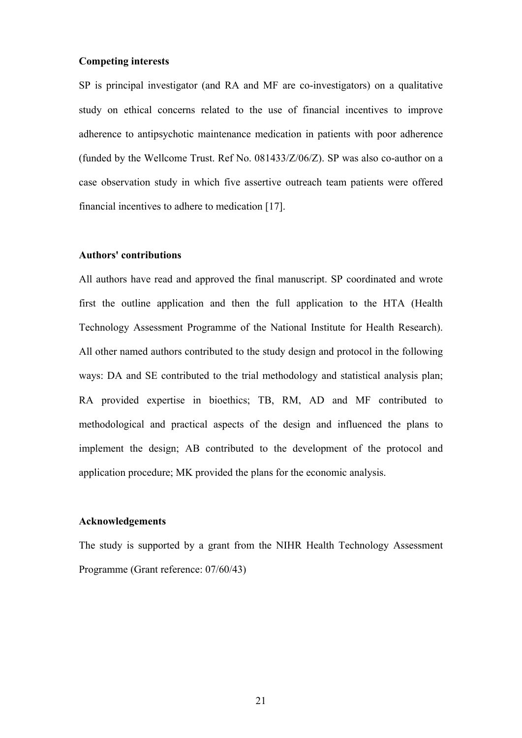## **Competing interests**

SP is principal investigator (and RA and MF are co-investigators) on a qualitative study on ethical concerns related to the use of financial incentives to improve adherence to antipsychotic maintenance medication in patients with poor adherence (funded by the Wellcome Trust. Ref No. 081433/Z/06/Z). SP was also co-author on a case observation study in which five assertive outreach team patients were offered financial incentives to adhere to medication [17].

# **Authors' contributions**

All authors have read and approved the final manuscript. SP coordinated and wrote first the outline application and then the full application to the HTA (Health Technology Assessment Programme of the National Institute for Health Research). All other named authors contributed to the study design and protocol in the following ways: DA and SE contributed to the trial methodology and statistical analysis plan; RA provided expertise in bioethics; TB, RM, AD and MF contributed to methodological and practical aspects of the design and influenced the plans to implement the design; AB contributed to the development of the protocol and application procedure; MK provided the plans for the economic analysis.

## **Acknowledgements**

The study is supported by a grant from the NIHR Health Technology Assessment Programme (Grant reference: 07/60/43)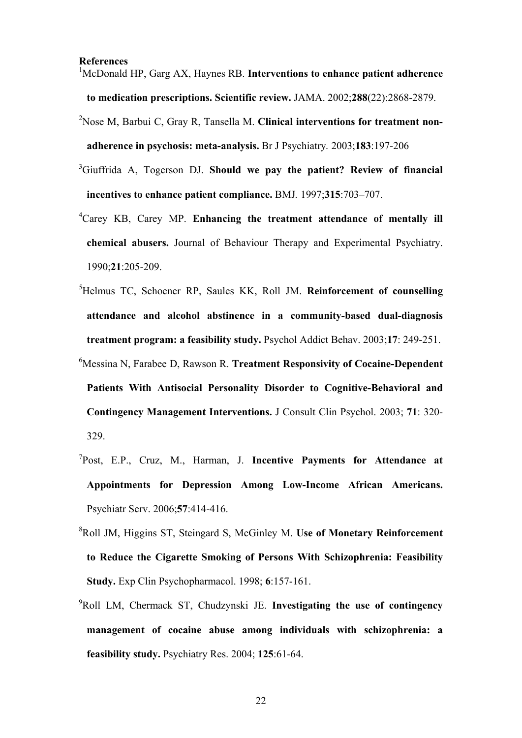#### **References**

<sup>1</sup>McDonald HP, Garg AX, Haynes RB. **Interventions to enhance patient adherence to medication prescriptions. Scientific review.** JAMA. 2002;**288**(22):2868-2879.

- <sup>2</sup>Nose M, Barbui C, Gray R, Tansella M. **Clinical interventions for treatment nonadherence in psychosis: meta-analysis.** Br J Psychiatry*.* 2003;**183**:197-206
- <sup>3</sup>Giuffrida A, Togerson DJ. **Should we pay the patient? Review of financial incentives to enhance patient compliance.** BMJ*.* 1997;**315**:703–707.
- <sup>4</sup>Carey KB, Carey MP. **Enhancing the treatment attendance of mentally ill chemical abusers.** Journal of Behaviour Therapy and Experimental Psychiatry. 1990;**21**:205-209.
- <sup>5</sup>Helmus TC, Schoener RP, Saules KK, Roll JM. **Reinforcement of counselling attendance and alcohol abstinence in a community-based dual-diagnosis treatment program: a feasibility study.** Psychol Addict Behav. 2003;**17**: 249-251.
- <sup>6</sup>Messina N, Farabee D, Rawson R. **Treatment Responsivity of Cocaine-Dependent Patients With Antisocial Personality Disorder to Cognitive-Behavioral and Contingency Management Interventions.** J Consult Clin Psychol. 2003; **71**: 320- 329.
- 7 Post, E.P., Cruz, M., Harman, J. **Incentive Payments for Attendance at Appointments for Depression Among Low-Income African Americans.** Psychiatr Serv. 2006;**57**:414-416.
- <sup>8</sup>Roll JM, Higgins ST, Steingard S, McGinley M. **Use of Monetary Reinforcement to Reduce the Cigarette Smoking of Persons With Schizophrenia: Feasibility Study.** Exp Clin Psychopharmacol. 1998; **6**:157-161.
- <sup>9</sup>Roll LM, Chermack ST, Chudzynski JE. **Investigating the use of contingency management of cocaine abuse among individuals with schizophrenia: a feasibility study.** Psychiatry Res. 2004; **125**:61-64.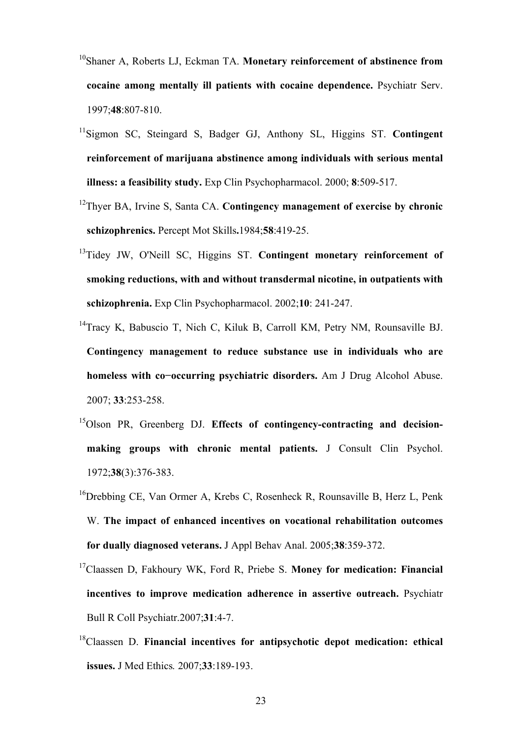- <sup>10</sup>Shaner A, Roberts LJ, Eckman TA. **Monetary reinforcement of abstinence from cocaine among mentally ill patients with cocaine dependence.** Psychiatr Serv. 1997;**48**:807-810.
- <sup>11</sup>Sigmon SC, Steingard S, Badger GJ, Anthony SL, Higgins ST. **Contingent reinforcement of marijuana abstinence among individuals with serious mental illness: a feasibility study.** Exp Clin Psychopharmacol. 2000; **8**:509-517.
- <sup>12</sup>Thyer BA, Irvine S, Santa CA. **Contingency management of exercise by chronic schizophrenics.** Percept Mot Skills**.**1984;**58**:419-25.
- <sup>13</sup>Tidey JW, O'Neill SC, Higgins ST. Contingent monetary reinforcement of **smoking reductions, with and without transdermal nicotine, in outpatients with schizophrenia.** Exp Clin Psychopharmacol. 2002;**10**: 241-247.
- <sup>14</sup>Tracy K, Babuscio T, Nich C, Kiluk B, Carroll KM, Petry NM, Rounsaville BJ. **Contingency management to reduce substance use in individuals who are**  homeless with co-occurring psychiatric disorders. Am J Drug Alcohol Abuse. 2007; **33**:253-258.
- <sup>15</sup>Olson PR, Greenberg DJ. **Effects of contingency-contracting and decisionmaking groups with chronic mental patients.** J Consult Clin Psychol. 1972;**38**(3):376-383.
- $16$ Drebbing CE, Van Ormer A, Krebs C, Rosenheck R, Rounsaville B, Herz L, Penk W. **The impact of enhanced incentives on vocational rehabilitation outcomes for dually diagnosed veterans.** J Appl Behav Anal. 2005;**38**:359-372.
- <sup>17</sup>Claassen D, Fakhoury WK, Ford R, Priebe S. **Money for medication: Financial incentives to improve medication adherence in assertive outreach.** Psychiatr Bull R Coll Psychiatr.2007;**31**:4-7.
- <sup>18</sup>Claassen D. **Financial incentives for antipsychotic depot medication: ethical issues.** J Med Ethics*.* 2007;**33**:189-193.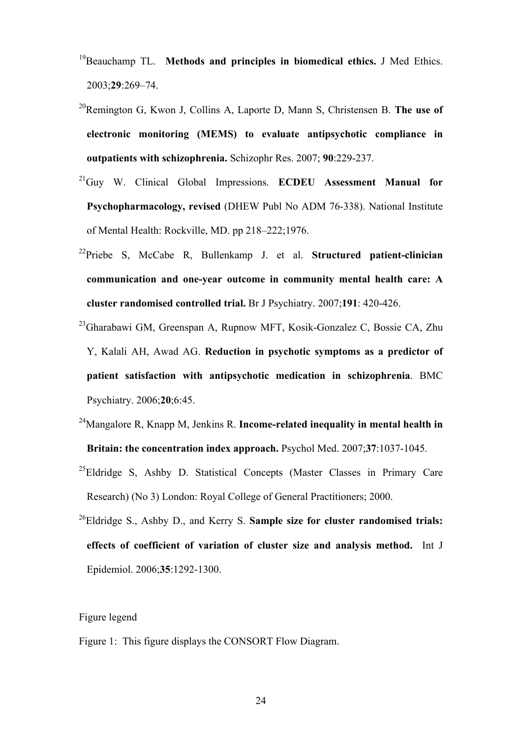- <sup>19</sup>Beauchamp TL. **Methods and principles in biomedical ethics.** J Med Ethics. 2003;**29**:269–74.
- <sup>20</sup>Remington G, Kwon J, Collins A, Laporte D, Mann S, Christensen B. **The use of electronic monitoring (MEMS) to evaluate antipsychotic compliance in outpatients with schizophrenia.** Schizophr Res. 2007; **90**:229-237.
- <sup>21</sup>Guy W. Clinical Global Impressions. **ECDEU Assessment Manual for Psychopharmacology, revised** (DHEW Publ No ADM 76-338). National Institute of Mental Health: Rockville, MD. pp 218–222;1976.
- <sup>22</sup>Priebe S, McCabe R, Bullenkamp J. et al. **Structured patient-clinician communication and one-year outcome in community mental health care: A cluster randomised controlled trial.** Br J Psychiatry. 2007;**191**: 420-426.
- <sup>23</sup>Gharabawi GM, Greenspan A, Rupnow MFT, Kosik-Gonzalez C, Bossie CA, Zhu Y, Kalali AH, Awad AG. **Reduction in psychotic symptoms as a predictor of patient satisfaction with antipsychotic medication in schizophrenia**. BMC Psychiatry. 2006;**20**;6:45.
- <sup>24</sup>Mangalore R, Knapp M, Jenkins R. **Income-related inequality in mental health in Britain: the concentration index approach.** Psychol Med. 2007;**37**:1037-1045.
- $^{25}$ Eldridge S, Ashby D. Statistical Concepts (Master Classes in Primary Care Research) (No 3) London: Royal College of General Practitioners; 2000.
- <sup>26</sup>Eldridge S., Ashby D., and Kerry S. **Sample size for cluster randomised trials: effects of coefficient of variation of cluster size and analysis method.** Int J Epidemiol. 2006;**35**:1292-1300.

# Figure legend

Figure 1: This figure displays the CONSORT Flow Diagram.